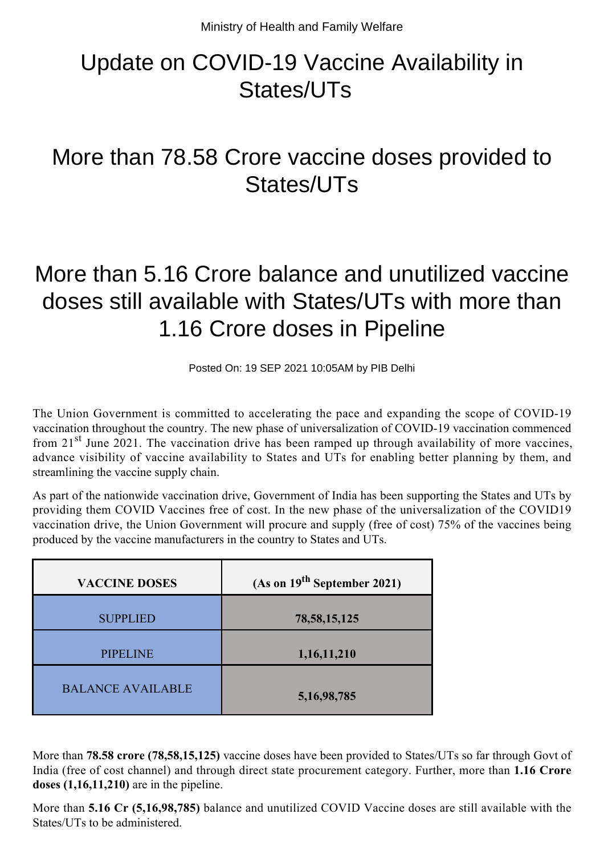## Update on COVID-19 Vaccine Availability in States/UTs

## More than 78.58 Crore vaccine doses provided to States/UTs

## More than 5.16 Crore balance and unutilized vaccine doses still available with States/UTs with more than 1.16 Crore doses in Pipeline

Posted On: 19 SEP 2021 10:05AM by PIB Delhi

The Union Government is committed to accelerating the pace and expanding the scope of COVID-19 vaccination throughout the country. The new phase of universalization of COVID-19 vaccination commenced from 21<sup>st</sup> June 2021. The vaccination drive has been ramped up through availability of more vaccines, advance visibility of vaccine availability to States and UTs for enabling better planning by them, and streamlining the vaccine supply chain.

As part of the nationwide vaccination drive, Government of India has been supporting the States and UTs by providing them COVID Vaccines free of cost. In the new phase of the universalization of the COVID19 vaccination drive, the Union Government will procure and supply (free of cost) 75% of the vaccines being produced by the vaccine manufacturers in the country to States and UTs.

| <b>VACCINE DOSES</b>     | (As on $19^{th}$ September 2021) |
|--------------------------|----------------------------------|
| <b>SUPPLIED</b>          | 78, 58, 15, 125                  |
| <b>PIPELINE</b>          | 1,16,11,210                      |
| <b>BALANCE AVAILABLE</b> | 5, 16, 98, 785                   |

More than **78.58 crore (78,58,15,125)** vaccine doses have been provided to States/UTs so far through Govt of India (free of cost channel) and through direct state procurement category. Further, more than **1.16 Crore doses (1,16,11,210)** are in the pipeline.

More than **5.16 Cr (5,16,98,785)** balance and unutilized COVID Vaccine doses are still available with the States/UTs to be administered.